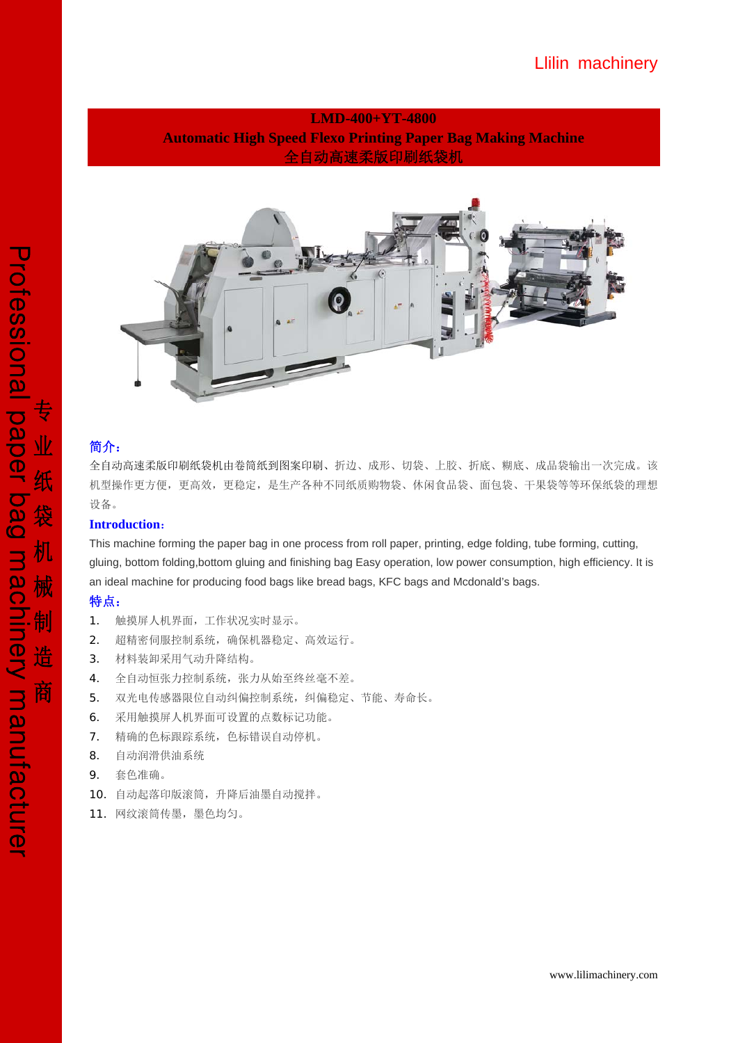## Llilin machinery

## **LMD-400+YT-4800 Automatic High Speed Flexo Printing Paper Bag Making Machine**  全自动高速柔版印刷纸袋机



## 简介:

全自动高速柔版印刷纸袋机由卷筒纸到图案印刷、折边、成形、切袋、上胶、折底、糊底、成品袋输出一次完成。该 机型操作更方便,更高效,更稳定,是生产各种不同纸质购物袋、休闲食品袋、面包袋、干果袋等等环保纸袋的理想 设备。

### **Introduction**:

This machine forming the paper bag in one process from roll paper, printing, edge folding, tube forming, cutting, gluing, bottom folding,bottom gluing and finishing bag Easy operation, low power consumption, high efficiency. It is an ideal machine for producing food bags like bread bags, KFC bags and Mcdonald's bags.

### 特点:

- 1. 触摸屏人机界面,工作状况实时显示。
- 2. 超精密伺服控制系统,确保机器稳定、高效运行。
- 3. 材料装卸采用气动升降结构。
- 4. 全自动恒张力控制系统,张力从始至终丝毫不差。
- 5. 双光电传感器限位自动纠偏控制系统,纠偏稳定、节能、寿命长。
- 6. 采用触摸屏人机界面可设置的点数标记功能。
- 7. 精确的色标跟踪系统,色标错误自动停机。
- 8. 自动润滑供油系统
- 9. 套色准确。
- 10. 自动起落印版滚筒,升降后油墨自动搅拌。
- 11. 网纹滚筒传墨,墨色均匀。